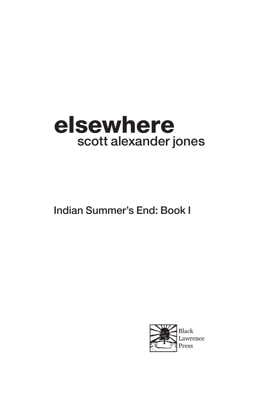## elsewhere scott alexander jones

Indian Summer's End: Book I

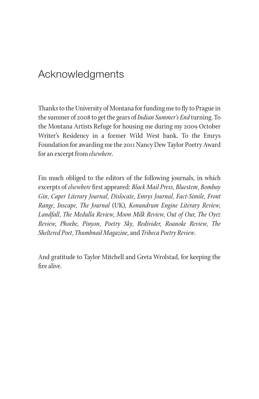## Acknowledgments

Thanks to the University of Montana for funding me to fly to Prague in the summer of 2008 to get the gears of *Indian Summer's End* turning. To the Montana Artists Refuge for housing me during my 2009 October Writer's Residency in a former Wild West bank. To the Emrys Foundation for awarding me the 2011 Nancy Dew Taylor Poetry Award for an excerpt from *elsewhere*.

I'm much obliged to the editors of the following journals, in which excerpts of *elsewhere* first appeared: *Black Mail Press*, *Bluestem*, *Bombay Gin*, *Caper Literary Journal*, *Dislocate*, *Emrys Journal*, *Fact-Simile*, *Front Range*, *Inscape*, *The Journal* (UK), *Konundrum Engine Literary Review*, *Landfall*, *The Medulla Review*, *Moon Milk Review*, *Out of Our*, *The Oyez Review*, *Phoebe*, *Pinyon*, *Poetry Sky*, *Redivider*, *Roanoke Review*, *The Sheltered Poet*, *Thumbnail Magazine*, and *Tribeca Poetry Review*.

And gratitude to Taylor Mitchell and Greta Wrolstad, for keeping the fire alive.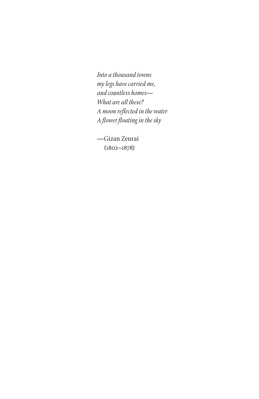*Into a thousand towns my legs have carried me, and countless homes— What are all these? A moon reflected in the water A flower floating in the sky*

—Gizan Zenrai (1802–1878)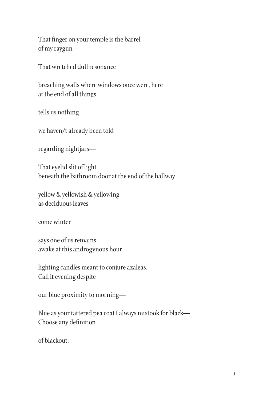That finger on your temple is the barrel of my raygun—

That wretched dull resonance

breaching walls where windows once were, here at the end of all things

tells us nothing

we haven/t already been told

regarding nightjars—

That eyelid slit of light beneath the bathroom door at the end of the hallway

yellow & yellowish & yellowing as deciduous leaves

come winter

says one of us remains awake at this androgynous hour

lighting candles meant to conjure azaleas. Call it evening despite

our blue proximity to morning—

Blue as your tattered pea coat I always mistook for black— Choose any definition

of blackout: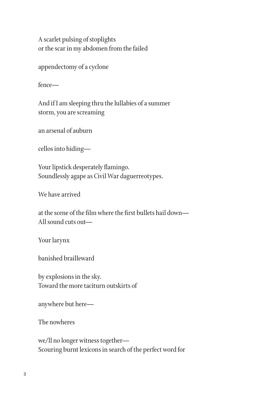A scarlet pulsing of stoplights or the scar in my abdomen from the failed

appendectomy of a cyclone

fence—

And if I am sleeping thru the lullabies of a summer storm, you are screaming

an arsenal of auburn

cellos into hiding—

Your lipstick desperately flamingo. Soundlessly agape as Civil War daguerreotypes.

We have arrived

at the scene of the film where the first bullets hail down— All sound cuts out—

Your larynx

banished brailleward

by explosions in the sky. Toward the more taciturn outskirts of

anywhere but here—

The nowheres

we/ll no longer witness together— Scouring burnt lexicons in search of the perfect word for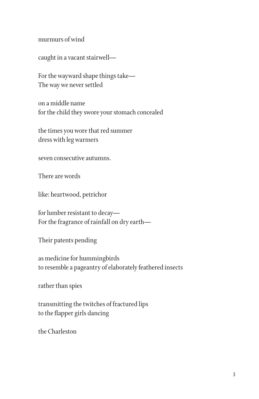murmurs of wind

caught in a vacant stairwell—

For the wayward shape things take— The way we never settled

on a middle name for the child they swore your stomach concealed

the times you wore that red summer dress with leg warmers

seven consecutive autumns.

There are words

like: heartwood, petrichor

for lumber resistant to decay— For the fragrance of rainfall on dry earth—

Their patents pending

as medicine for hummingbirds to resemble a pageantry of elaborately feathered insects

rather than spies

transmitting the twitches of fractured lips to the flapper girls dancing

the Charleston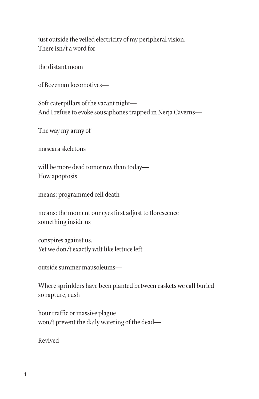just outside the veiled electricity of my peripheral vision. There isn/t a word for

the distant moan

of Bozeman locomotives—

Soft caterpillars of the vacant night— And I refuse to evoke sousaphones trapped in Nerja Caverns—

The way my army of

mascara skeletons

will be more dead tomorrow than today— How apoptosis

means: programmed cell death

means: the moment our eyes first adjust to florescence something inside us

conspires against us. Yet we don/t exactly wilt like lettuce left

outside summer mausoleums—

Where sprinklers have been planted between caskets we call buried so rapture, rush

hour traffic or massive plague won/t prevent the daily watering of the dead—

Revived